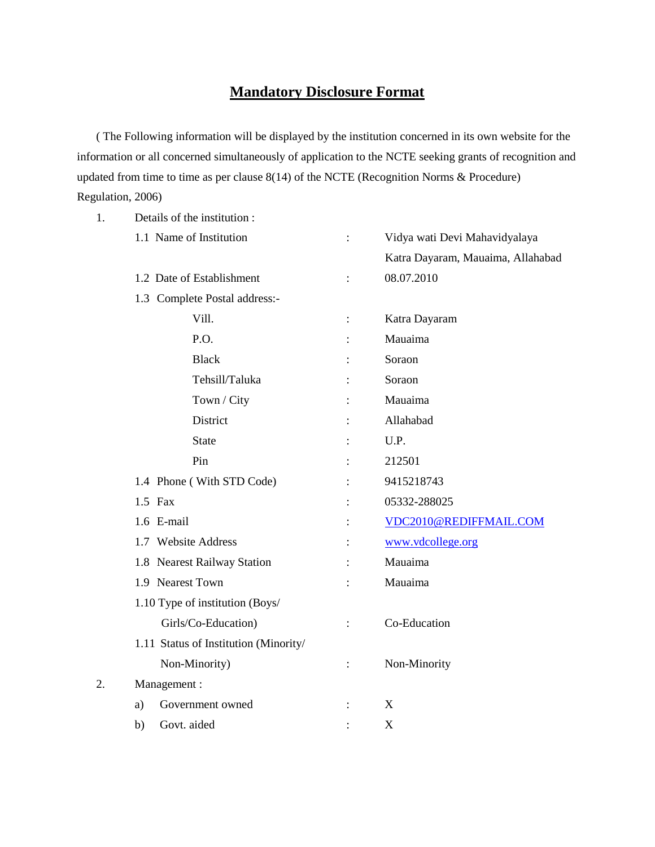## **Mandatory Disclosure Format**

( The Following information will be displayed by the institution concerned in its own website for the information or all concerned simultaneously of application to the NCTE seeking grants of recognition and updated from time to time as per clause 8(14) of the NCTE (Recognition Norms & Procedure) Regulation, 2006)

| 1. | Details of the institution:           |                |                                   |  |  |  |
|----|---------------------------------------|----------------|-----------------------------------|--|--|--|
|    | 1.1 Name of Institution               | $\ddot{\cdot}$ | Vidya wati Devi Mahavidyalaya     |  |  |  |
|    |                                       |                | Katra Dayaram, Mauaima, Allahabad |  |  |  |
|    | 1.2 Date of Establishment             | $\ddot{\cdot}$ | 08.07.2010                        |  |  |  |
|    | 1.3 Complete Postal address:-         |                |                                   |  |  |  |
|    | Vill.                                 | $\ddot{\cdot}$ | Katra Dayaram                     |  |  |  |
|    | P.O.                                  |                | Mauaima                           |  |  |  |
|    | <b>Black</b>                          |                | Soraon                            |  |  |  |
|    | Tehsill/Taluka                        |                | Soraon                            |  |  |  |
|    | Town / City                           |                | Mauaima                           |  |  |  |
|    | <b>District</b>                       |                | Allahabad                         |  |  |  |
|    | <b>State</b>                          |                | U.P.                              |  |  |  |
|    | Pin                                   |                | 212501                            |  |  |  |
|    | 1.4 Phone (With STD Code)             |                | 9415218743                        |  |  |  |
|    | 1.5 Fax                               |                | 05332-288025                      |  |  |  |
|    | 1.6 E-mail                            |                | VDC2010@REDIFFMAIL.COM            |  |  |  |
|    | 1.7 Website Address                   |                | www.vdcollege.org                 |  |  |  |
|    | 1.8 Nearest Railway Station           |                | Mauaima                           |  |  |  |
|    | 1.9 Nearest Town                      |                | Mauaima                           |  |  |  |
|    | 1.10 Type of institution (Boys/       |                |                                   |  |  |  |
|    | Girls/Co-Education)                   | $\ddot{\cdot}$ | Co-Education                      |  |  |  |
|    | 1.11 Status of Institution (Minority/ |                |                                   |  |  |  |
|    | Non-Minority)                         | $\ddot{\cdot}$ | Non-Minority                      |  |  |  |
| 2. | Management:                           |                |                                   |  |  |  |
|    | Government owned<br>a)                |                | X                                 |  |  |  |
|    | Govt. aided<br>b)                     |                | X                                 |  |  |  |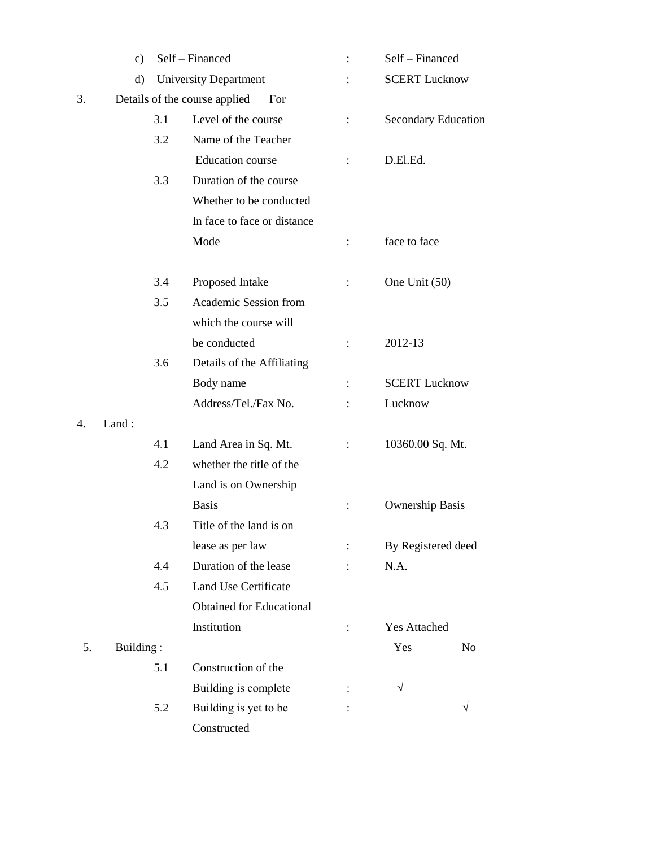|    | c)                                   |     | Self - Financed                 | :                    | Self - Financed            |    |
|----|--------------------------------------|-----|---------------------------------|----------------------|----------------------------|----|
|    | d)                                   |     | <b>University Department</b>    |                      | <b>SCERT Lucknow</b>       |    |
| 3. | Details of the course applied<br>For |     |                                 |                      |                            |    |
|    |                                      | 3.1 | Level of the course             | $\ddot{\cdot}$       | <b>Secondary Education</b> |    |
|    |                                      | 3.2 | Name of the Teacher             |                      |                            |    |
|    |                                      |     | <b>Education</b> course         | $\ddot{\cdot}$       | D.El.Ed.                   |    |
|    |                                      | 3.3 | Duration of the course          |                      |                            |    |
|    |                                      |     | Whether to be conducted         |                      |                            |    |
|    |                                      |     | In face to face or distance     |                      |                            |    |
|    |                                      |     | Mode                            | $\ddot{\cdot}$       | face to face               |    |
|    |                                      | 3.4 | Proposed Intake                 | $\ddot{\phantom{a}}$ | One Unit (50)              |    |
|    |                                      | 3.5 | Academic Session from           |                      |                            |    |
|    |                                      |     | which the course will           |                      |                            |    |
|    |                                      |     | be conducted                    | $\ddot{\phantom{a}}$ | 2012-13                    |    |
|    |                                      | 3.6 | Details of the Affiliating      |                      |                            |    |
|    |                                      |     | Body name                       | $\ddot{\cdot}$       | <b>SCERT Lucknow</b>       |    |
|    |                                      |     | Address/Tel./Fax No.            |                      | Lucknow                    |    |
| 4. | Land:                                |     |                                 |                      |                            |    |
|    |                                      | 4.1 | Land Area in Sq. Mt.            |                      | 10360.00 Sq. Mt.           |    |
|    |                                      | 4.2 | whether the title of the        |                      |                            |    |
|    |                                      |     | Land is on Ownership            |                      |                            |    |
|    |                                      |     | <b>Basis</b>                    | $\vdots$             | <b>Ownership Basis</b>     |    |
|    |                                      | 4.3 | Title of the land is on         |                      |                            |    |
|    |                                      |     | lease as per law                |                      | By Registered deed         |    |
|    |                                      | 4.4 | Duration of the lease           |                      | N.A.                       |    |
|    |                                      | 4.5 | Land Use Certificate            |                      |                            |    |
|    |                                      |     | <b>Obtained for Educational</b> |                      |                            |    |
|    |                                      |     | Institution                     | $\ddot{\phantom{a}}$ | <b>Yes Attached</b>        |    |
| 5. | Building:                            |     |                                 |                      | Yes                        | No |
|    |                                      | 5.1 | Construction of the             |                      |                            |    |
|    |                                      |     | Building is complete            |                      | $\sqrt{}$                  |    |
|    |                                      | 5.2 | Building is yet to be           |                      |                            | V  |
|    |                                      |     | Constructed                     |                      |                            |    |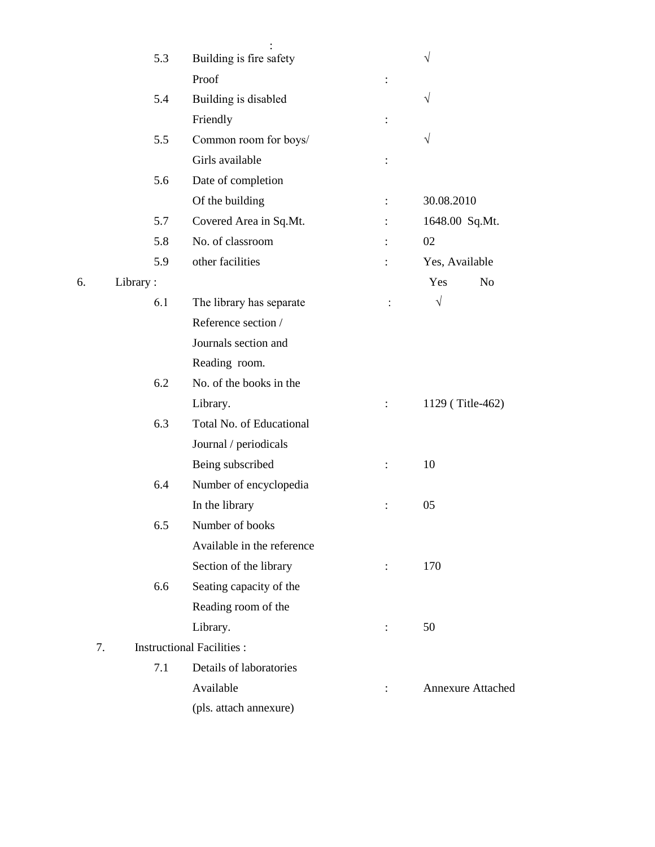|    | 5.3      | Building is fire safety          |                      | V                        |
|----|----------|----------------------------------|----------------------|--------------------------|
|    |          | Proof                            | $\vdots$             |                          |
|    | 5.4      | Building is disabled             |                      | V                        |
|    |          | Friendly                         | $\vdots$             |                          |
|    | 5.5      | Common room for boys/            |                      | V                        |
|    |          | Girls available                  | $\vdots$             |                          |
|    | 5.6      | Date of completion               |                      |                          |
|    |          | Of the building                  | $\vdots$             | 30.08.2010               |
|    | 5.7      | Covered Area in Sq.Mt.           |                      | 1648.00 Sq.Mt.           |
|    | 5.8      | No. of classroom                 | $\ddot{\cdot}$       | 02                       |
|    | 5.9      | other facilities                 |                      | Yes, Available           |
| 6. | Library: |                                  |                      | Yes<br>N <sub>o</sub>    |
|    | 6.1      | The library has separate         | $\ddot{\phantom{a}}$ | $\sqrt{}$                |
|    |          | Reference section /              |                      |                          |
|    |          | Journals section and             |                      |                          |
|    |          | Reading room.                    |                      |                          |
|    | 6.2      | No. of the books in the          |                      |                          |
|    |          | Library.                         | $\ddot{\cdot}$       | 1129 (Title-462)         |
|    | 6.3      | Total No. of Educational         |                      |                          |
|    |          | Journal / periodicals            |                      |                          |
|    |          | Being subscribed                 | $\vdots$             | 10                       |
|    | 6.4      | Number of encyclopedia           |                      |                          |
|    |          | In the library                   | $\vdots$             | 05                       |
|    | 6.5      | Number of books                  |                      |                          |
|    |          | Available in the reference       |                      |                          |
|    |          | Section of the library           | $\ddot{\cdot}$       | 170                      |
|    | 6.6      | Seating capacity of the          |                      |                          |
|    |          | Reading room of the              |                      |                          |
|    |          | Library.                         | $\ddot{\phantom{a}}$ | 50                       |
| 7. |          | <b>Instructional Facilities:</b> |                      |                          |
|    | 7.1      | Details of laboratories          |                      |                          |
|    |          | Available                        | $\ddot{\cdot}$       | <b>Annexure Attached</b> |
|    |          | (pls. attach annexure)           |                      |                          |
|    |          |                                  |                      |                          |